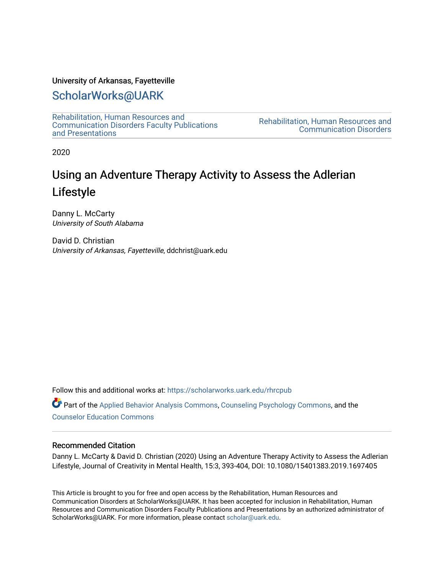### University of Arkansas, Fayetteville

# [ScholarWorks@UARK](https://scholarworks.uark.edu/)

[Rehabilitation, Human Resources and](https://scholarworks.uark.edu/rhrcpub)  [Communication Disorders Faculty Publications](https://scholarworks.uark.edu/rhrcpub)  [and Presentations](https://scholarworks.uark.edu/rhrcpub) 

[Rehabilitation, Human Resources and](https://scholarworks.uark.edu/rhrc)  [Communication Disorders](https://scholarworks.uark.edu/rhrc) 

2020

# Using an Adventure Therapy Activity to Assess the Adlerian Lifestyle

Danny L. McCarty University of South Alabama

David D. Christian University of Arkansas, Fayetteville, ddchrist@uark.edu

Follow this and additional works at: [https://scholarworks.uark.edu/rhrcpub](https://scholarworks.uark.edu/rhrcpub?utm_source=scholarworks.uark.edu%2Frhrcpub%2F5&utm_medium=PDF&utm_campaign=PDFCoverPages)

Part of the [Applied Behavior Analysis Commons](http://network.bepress.com/hgg/discipline/1235?utm_source=scholarworks.uark.edu%2Frhrcpub%2F5&utm_medium=PDF&utm_campaign=PDFCoverPages), [Counseling Psychology Commons,](http://network.bepress.com/hgg/discipline/1044?utm_source=scholarworks.uark.edu%2Frhrcpub%2F5&utm_medium=PDF&utm_campaign=PDFCoverPages) and the [Counselor Education Commons](http://network.bepress.com/hgg/discipline/1278?utm_source=scholarworks.uark.edu%2Frhrcpub%2F5&utm_medium=PDF&utm_campaign=PDFCoverPages) 

### Recommended Citation

Danny L. McCarty & David D. Christian (2020) Using an Adventure Therapy Activity to Assess the Adlerian Lifestyle, Journal of Creativity in Mental Health, 15:3, 393-404, DOI: 10.1080/15401383.2019.1697405

This Article is brought to you for free and open access by the Rehabilitation, Human Resources and Communication Disorders at ScholarWorks@UARK. It has been accepted for inclusion in Rehabilitation, Human Resources and Communication Disorders Faculty Publications and Presentations by an authorized administrator of ScholarWorks@UARK. For more information, please contact [scholar@uark.edu](mailto:scholar@uark.edu).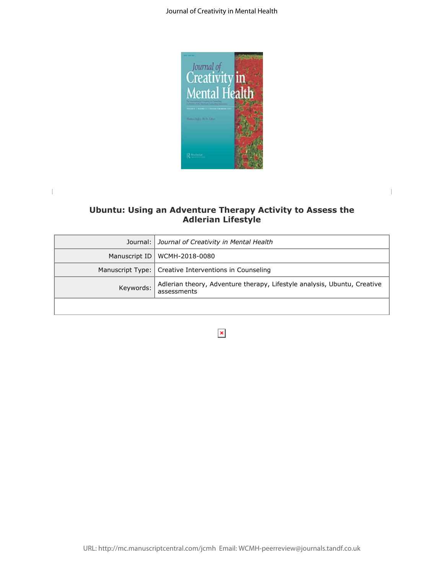

### **Ubuntu: Using an Adventure Therapy Activity to Assess the Adlerian Lifestyle**

 $\|$ 

| Ubuntu: Using an Adventure Therapy Activity to Assess the<br><b>Adlerian Lifestyle</b> |                                                                                         |  |
|----------------------------------------------------------------------------------------|-----------------------------------------------------------------------------------------|--|
| Journal:                                                                               | Journal of Creativity in Mental Health                                                  |  |
| Manuscript ID                                                                          | WCMH-2018-0080                                                                          |  |
| Manuscript Type:                                                                       | Creative Interventions in Counseling                                                    |  |
| Keywords:                                                                              | Adlerian theory, Adventure therapy, Lifestyle analysis, Ubuntu, Creative<br>assessments |  |
|                                                                                        |                                                                                         |  |
|                                                                                        | ×                                                                                       |  |
|                                                                                        |                                                                                         |  |
|                                                                                        |                                                                                         |  |
|                                                                                        |                                                                                         |  |
|                                                                                        |                                                                                         |  |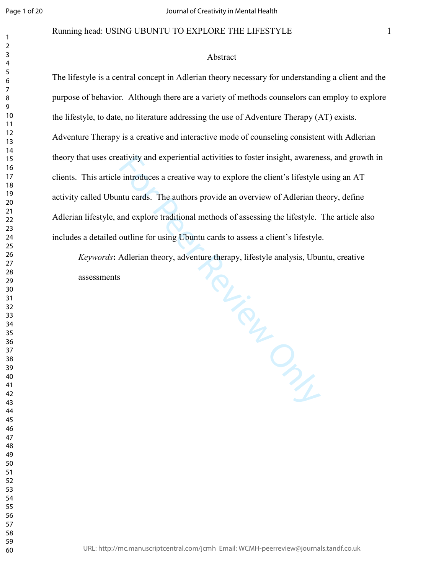### Running head: USING UBUNTU TO EXPLORE THE LIFESTYLE

### Abstract

The lifestyle is a central concept in Adlerian theory necessary for understanding a client and the purpose of behavior. Although there are a variety of methods counselors can employ to explore the lifestyle, to date, no literature addressing the use of Adventure Therapy (AT) exists. Adventure Therapy is a creative and interactive mode of counseling consistent with Adlerian theory that uses creativity and experiential activities to foster insight, awareness, and growth in clients. This article introduces a creative way to explore the client's lifestyle using an AT activity called Ubuntu cards. The authors provide an overview of Adlerian theory, define Adlerian lifestyle, and explore traditional methods of assessing the lifestyle. The article also includes a detailed outline for using Ubuntu cards to assess a client's lifestyle.

MELIE DE CINCILLE *Keywords***:** Adlerian theory, adventure therapy, lifestyle analysis, Ubuntu, creative assessments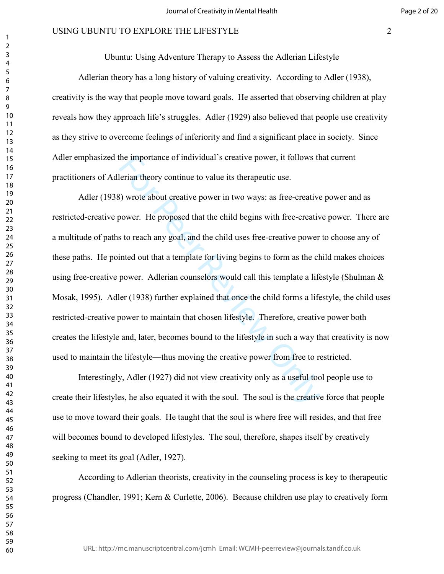Ubuntu: Using Adventure Therapy to Assess the Adlerian Lifestyle

Adlerian theory has a long history of valuing creativity. According to Adler (1938), creativity is the way that people move toward goals. He asserted that observing children at play reveals how they approach life's struggles. Adler (1929) also believed that people use creativity as they strive to overcome feelings of inferiority and find a significant place in society. Since Adler emphasized the importance of individual's creative power, it follows that current practitioners of Adlerian theory continue to value its therapeutic use.

the importance of individual's creative power, it follows the<br>rian theory continue to value its therapeutic use.<br>Solvent the selection of the proposed that the child begins with free-creative<br>power. He proposed that the ch Adler (1938) wrote about creative power in two ways: as free-creative power and as restricted-creative power. He proposed that the child begins with free-creative power. There are a multitude of paths to reach any goal, and the child uses free-creative power to choose any of these paths. He pointed out that a template for living begins to form as the child makes choices using free-creative power. Adlerian counselors would call this template a lifestyle (Shulman  $\&$ Mosak, 1995). Adler (1938) further explained that once the child forms a lifestyle, the child uses restricted-creative power to maintain that chosen lifestyle. Therefore, creative power both creates the lifestyle and, later, becomes bound to the lifestyle in such a way that creativity is now used to maintain the lifestyle—thus moving the creative power from free to restricted.

 Interestingly, Adler (1927) did not view creativity only as a useful tool people use to create their lifestyles, he also equated it with the soul. The soul is the creative force that people use to move toward their goals. He taught that the soul is where free will resides, and that free will becomes bound to developed lifestyles. The soul, therefore, shapes itself by creatively seeking to meet its goal (Adler, 1927).

 According to Adlerian theorists, creativity in the counseling process is key to therapeutic progress (Chandler, 1991; Kern & Curlette, 2006). Because children use play to creatively form

URL: http://mc.manuscriptcentral.com/jcmh Email: WCMH-peerreview@journals.tandf.co.uk

 $\mathbf{1}$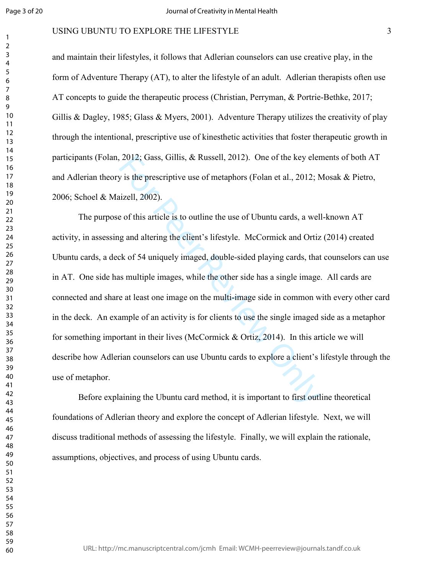### USING UBUNTU TO EXPLORE THE LIFESTYLE

and maintain their lifestyles, it follows that Adlerian counselors can use creative play, in the form of Adventure Therapy (AT), to alter the lifestyle of an adult. Adlerian therapists often use AT concepts to guide the therapeutic process (Christian, Perryman, & Portrie-Bethke, 2017; Gillis & Dagley, 1985; Glass & Myers, 2001). Adventure Therapy utilizes the creativity of play through the intentional, prescriptive use of kinesthetic activities that foster therapeutic growth in participants (Folan, 2012; Gass, Gillis, & Russell, 2012). One of the key elements of both AT and Adlerian theory is the prescriptive use of metaphors (Folan et al., 2012; Mosak & Pietro, 2006; Schoel & Maizell, 2002).

2012; Gass, Gillis, & Russell, 2012). One of the key eler<br>v is the prescriptive use of metaphors (Folan et al., 2012; N<br>izell, 2002).<br>e of this article is to outline the use of Ubuntu cards, a wel<br>g and altering the clien The purpose of this article is to outline the use of Ubuntu cards, a well-known AT activity, in assessing and altering the client's lifestyle. McCormick and Ortiz (2014) created Ubuntu cards, a deck of 54 uniquely imaged, double-sided playing cards, that counselors can use in AT. One side has multiple images, while the other side has a single image. All cards are connected and share at least one image on the multi-image side in common with every other card in the deck. An example of an activity is for clients to use the single imaged side as a metaphor for something important in their lives (McCormick & Ortiz, 2014). In this article we will describe how Adlerian counselors can use Ubuntu cards to explore a client's lifestyle through the use of metaphor.

Before explaining the Ubuntu card method, it is important to first outline theoretical foundations of Adlerian theory and explore the concept of Adlerian lifestyle. Next, we will discuss traditional methods of assessing the lifestyle. Finally, we will explain the rationale, assumptions, objectives, and process of using Ubuntu cards.

URL: http://mc.manuscriptcentral.com/jcmh Email: WCMH-peerreview@journals.tandf.co.uk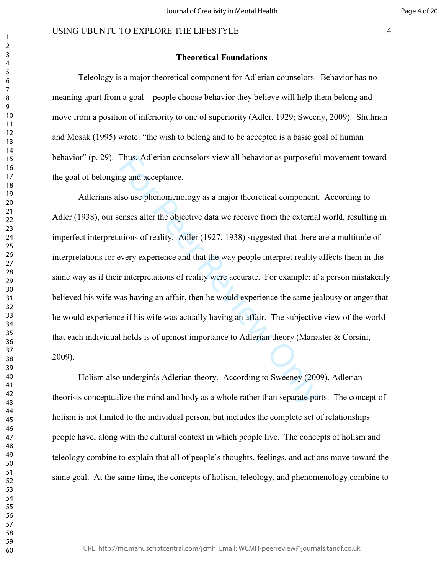### **Theoretical Foundations**

Teleology is a major theoretical component for Adlerian counselors. Behavior has no meaning apart from a goal—people choose behavior they believe will help them belong and move from a position of inferiority to one of superiority (Adler, 1929; Sweeny, 2009). Shulman and Mosak (1995) wrote: "the wish to belong and to be accepted is a basic goal of human behavior" (p. 29). Thus, Adlerian counselors view all behavior as purposeful movement toward the goal of belonging and acceptance.

Thus, Adlerian counselors view all behavior as purposeful<br>ing and acceptance.<br>Iso use phenomenology as a major theoretical component.<br>enses alter the objective data we receive from the external<br>ations of reality. Adler (19 Adlerians also use phenomenology as a major theoretical component. According to Adler (1938), our senses alter the objective data we receive from the external world, resulting in imperfect interpretations of reality. Adler (1927, 1938) suggested that there are a multitude of interpretations for every experience and that the way people interpret reality affects them in the same way as if their interpretations of reality were accurate. For example: if a person mistakenly believed his wife was having an affair, then he would experience the same jealousy or anger that he would experience if his wife was actually having an affair. The subjective view of the world that each individual holds is of upmost importance to Adlerian theory (Manaster & Corsini, 2009).

Holism also undergirds Adlerian theory. According to Sweeney (2009), Adlerian theorists conceptualize the mind and body as a whole rather than separate parts. The concept of holism is not limited to the individual person, but includes the complete set of relationships people have, along with the cultural context in which people live. The concepts of holism and teleology combine to explain that all of people's thoughts, feelings, and actions move toward the same goal. At the same time, the concepts of holism, teleology, and phenomenology combine to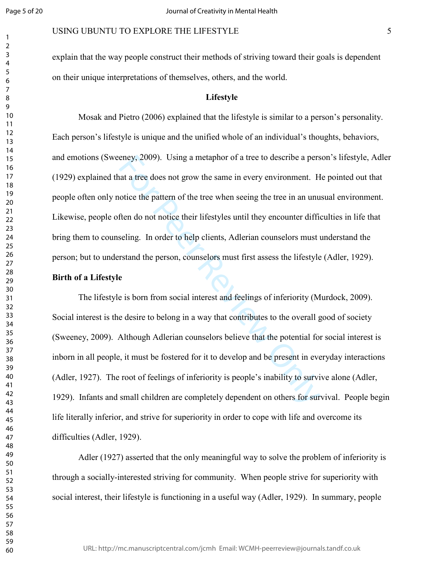### USING UBUNTU TO EXPLORE THE LIFESTYLE

explain that the way people construct their methods of striving toward their goals is dependent on their unique interpretations of themselves, others, and the world.

### **Lifestyle**

Mosak and Pietro (2006) explained that the lifestyle is similar to a person's personality. Each person's lifestyle is unique and the unified whole of an individual's thoughts, behaviors, and emotions (Sweeney, 2009). Using a metaphor of a tree to describe a person's lifestyle, Adler (1929) explained that a tree does not grow the same in every environment. He pointed out that people often only notice the pattern of the tree when seeing the tree in an unusual environment. Likewise, people often do not notice their lifestyles until they encounter difficulties in life that bring them to counseling. In order to help clients, Adlerian counselors must understand the person; but to understand the person, counselors must first assess the lifestyle (Adler, 1929).

#### **Birth of a Lifestyle**

eney, 2009). Using a metaphor of a tree to describe a pers<br>at a tree does not grow the same in every environment. H<br>otice the pattern of the tree when seeing the tree in an unu<br>ften do not notice their lifestyles until the The lifestyle is born from social interest and feelings of inferiority (Murdock, 2009). Social interest is the desire to belong in a way that contributes to the overall good of society (Sweeney, 2009). Although Adlerian counselors believe that the potential for social interest is inborn in all people, it must be fostered for it to develop and be present in everyday interactions (Adler, 1927). The root of feelings of inferiority is people's inability to survive alone (Adler, 1929). Infants and small children are completely dependent on others for survival. People begin life literally inferior, and strive for superiority in order to cope with life and overcome its difficulties (Adler, 1929).

Adler (1927) asserted that the only meaningful way to solve the problem of inferiority is through a socially-interested striving for community. When people strive for superiority with social interest, their lifestyle is functioning in a useful way (Adler, 1929). In summary, people

URL: http://mc.manuscriptcentral.com/jcmh Email: WCMH-peerreview@journals.tandf.co.uk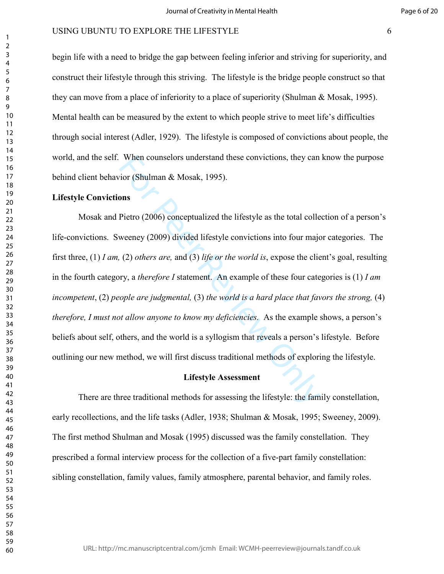begin life with a need to bridge the gap between feeling inferior and striving for superiority, and construct their lifestyle through this striving. The lifestyle is the bridge people construct so that they can move from a place of inferiority to a place of superiority (Shulman & Mosak, 1995). Mental health can be measured by the extent to which people strive to meet life's difficulties through social interest (Adler, 1929). The lifestyle is composed of convictions about people, the world, and the self. When counselors understand these convictions, they can know the purpose behind client behavior (Shulman & Mosak, 1995).

### **Lifestyle Convictions**

When counselors understand these convictions, they can<br>vior (Shulman & Mosak, 1995).<br>**Only Exercity** (2006) conceptualized the lifestyle as the total colle<br>weeney (2009) divided lifestyle convictions into four major<br>(2) Mosak and Pietro (2006) conceptualized the lifestyle as the total collection of a person's life-convictions. Sweeney (2009) divided lifestyle convictions into four major categories. The first three, (1) *I am,* (2) *others are,* and (3) *life or the world is*, expose the client's goal, resulting in the fourth category, a *therefore I* statement. An example of these four categories is (1) *I am incompetent*, (2) *people are judgmental,* (3) *the world is a hard place that favors the strong,* (4) *therefore, I must not allow anyone to know my deficiencies.* As the example shows, a person's beliefs about self, others, and the world is a syllogism that reveals a person's lifestyle. Before outlining our new method, we will first discuss traditional methods of exploring the lifestyle.

#### **Lifestyle Assessment**

There are three traditional methods for assessing the lifestyle: the family constellation, early recollections, and the life tasks (Adler, 1938; Shulman & Mosak, 1995; Sweeney, 2009). The first method Shulman and Mosak (1995) discussed was the family constellation. They prescribed a formal interview process for the collection of a five-part family constellation: sibling constellation, family values, family atmosphere, parental behavior, and family roles.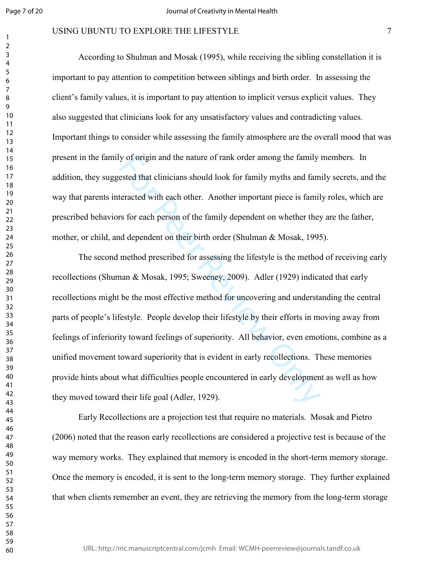### USING UBUNTU TO EXPLORE THE LIFESTYLE

According to Shulman and Mosak (1995), while receiving the sibling constellation it is important to pay attention to competition between siblings and birth order. In assessing the client's family values, it is important to pay attention to implicit versus explicit values. They also suggested that clinicians look for any unsatisfactory values and contradicting values. Important things to consider while assessing the family atmosphere are the overall mood that was present in the family of origin and the nature of rank order among the family members. In addition, they suggested that clinicians should look for family myths and family secrets, and the way that parents interacted with each other. Another important piece is family roles, which are prescribed behaviors for each person of the family dependent on whether they are the father, mother, or child, and dependent on their birth order (Shulman & Mosak, 1995).

y of origin and the nature of rank order among the family<br>ested that clinicians should look for family myths and fam<br>teracted with each other. Another important piece is famil<br>rs for each person of the family dependent on The second method prescribed for assessing the lifestyle is the method of receiving early recollections (Shuman & Mosak, 1995; Sweeney, 2009). Adler (1929) indicated that early recollections might be the most effective method for uncovering and understanding the central parts of people's lifestyle. People develop their lifestyle by their efforts in moving away from feelings of inferiority toward feelings of superiority. All behavior, even emotions, combine as a unified movement toward superiority that is evident in early recollections. These memories provide hints about what difficulties people encountered in early development as well as how they moved toward their life goal (Adler, 1929).

Early Recollections are a projection test that require no materials. Mosak and Pietro (2006) noted that the reason early recollections are considered a projective test is because of the way memory works. They explained that memory is encoded in the short-term memory storage. Once the memory is encoded, it is sent to the long-term memory storage. They further explained that when clients remember an event, they are retrieving the memory from the long-term storage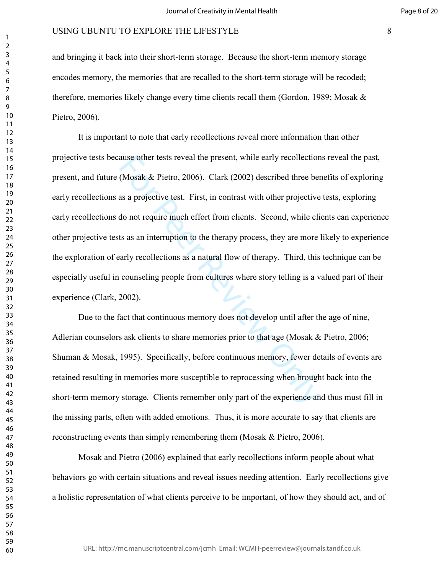and bringing it back into their short-term storage. Because the short-term memory storage encodes memory, the memories that are recalled to the short-term storage will be recoded; therefore, memories likely change every time clients recall them (Gordon, 1989; Mosak & Pietro, 2006).

ause other tests reveal the present, while early recollection<br>(Mosak & Pietro, 2006). Clark (2002) described three ber<br>as a projective test. First, in contrast with other projective<br>do not require much effort from clients. It is important to note that early recollections reveal more information than other projective tests because other tests reveal the present, while early recollections reveal the past, present, and future (Mosak & Pietro, 2006). Clark (2002) described three benefits of exploring early recollections as a projective test. First, in contrast with other projective tests, exploring early recollections do not require much effort from clients. Second, while clients can experience other projective tests as an interruption to the therapy process, they are more likely to experience the exploration of early recollections as a natural flow of therapy. Third, this technique can be especially useful in counseling people from cultures where story telling is a valued part of their experience (Clark, 2002).

Due to the fact that continuous memory does not develop until after the age of nine, Adlerian counselors ask clients to share memories prior to that age (Mosak & Pietro, 2006; Shuman & Mosak, 1995). Specifically, before continuous memory, fewer details of events are retained resulting in memories more susceptible to reprocessing when brought back into the short-term memory storage. Clients remember only part of the experience and thus must fill in the missing parts, often with added emotions. Thus, it is more accurate to say that clients are reconstructing events than simply remembering them (Mosak & Pietro, 2006).

Mosak and Pietro (2006) explained that early recollections inform people about what behaviors go with certain situations and reveal issues needing attention. Early recollections give a holistic representation of what clients perceive to be important, of how they should act, and of

URL: http://mc.manuscriptcentral.com/jcmh Email: WCMH-peerreview@journals.tandf.co.uk

 $\mathbf{1}$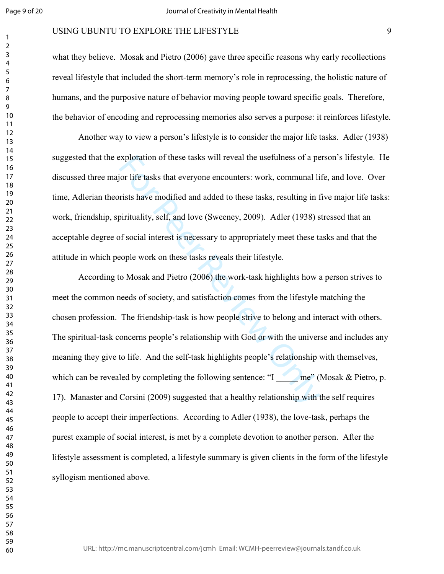### USING UBUNTU TO EXPLORE THE LIFESTYLE

what they believe. Mosak and Pietro (2006) gave three specific reasons why early recollections reveal lifestyle that included the short-term memory's role in reprocessing, the holistic nature of humans, and the purposive nature of behavior moving people toward specific goals. Therefore, the behavior of encoding and reprocessing memories also serves a purpose: it reinforces lifestyle.

Another way to view a person's lifestyle is to consider the major life tasks. Adler (1938) suggested that the exploration of these tasks will reveal the usefulness of a person's lifestyle. He discussed three major life tasks that everyone encounters: work, communal life, and love. Over time, Adlerian theorists have modified and added to these tasks, resulting in five major life tasks: work, friendship, spirituality, self, and love (Sweeney, 2009). Adler (1938) stressed that an acceptable degree of social interest is necessary to appropriately meet these tasks and that the attitude in which people work on these tasks reveals their lifestyle.

exploration of these tasks will reveal the usefulness of a peron life tasks that everyone encounters: work, communal limits have modified and added to these tasks, resulting in formitivality, self, and love (Sweeney, 2009) According to Mosak and Pietro (2006) the work-task highlights how a person strives to meet the common needs of society, and satisfaction comes from the lifestyle matching the chosen profession. The friendship-task is how people strive to belong and interact with others. The spiritual-task concerns people's relationship with God or with the universe and includes any meaning they give to life. And the self-task highlights people's relationship with themselves, which can be revealed by completing the following sentence: "I  $\qquad$  me" (Mosak & Pietro, p. 17). Manaster and Corsini (2009) suggested that a healthy relationship with the self requires people to accept their imperfections. According to Adler (1938), the love-task, perhaps the purest example of social interest, is met by a complete devotion to another person. After the lifestyle assessment is completed, a lifestyle summary is given clients in the form of the lifestyle syllogism mentioned above.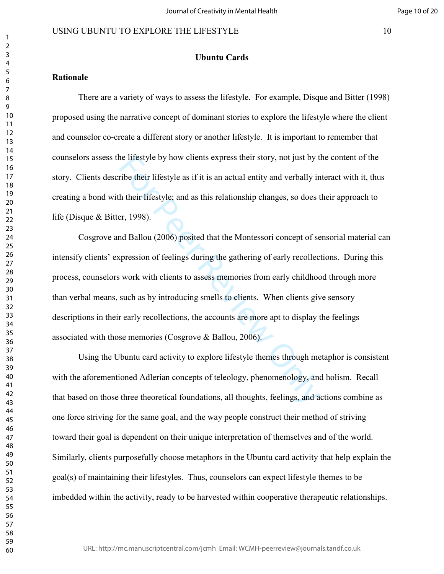**Ubuntu Cards** 

### **Rationale**

 There are a variety of ways to assess the lifestyle. For example, Disque and Bitter (1998) proposed using the narrative concept of dominant stories to explore the lifestyle where the client and counselor co-create a different story or another lifestyle. It is important to remember that counselors assess the lifestyle by how clients express their story, not just by the content of the story. Clients describe their lifestyle as if it is an actual entity and verbally interact with it, thus creating a bond with their lifestyle; and as this relationship changes, so does their approach to life (Disque & Bitter, 1998).

ele lifestyle by how clients express their story, not just by the their lifestyle as if it is an actual entity and verbally in their lifestyle; and as this relationship changes, so does the set of set of set of set of set Cosgrove and Ballou (2006) posited that the Montessori concept of sensorial material can intensify clients' expression of feelings during the gathering of early recollections. During this process, counselors work with clients to assess memories from early childhood through more than verbal means, such as by introducing smells to clients. When clients give sensory descriptions in their early recollections, the accounts are more apt to display the feelings associated with those memories (Cosgrove & Ballou, 2006).

Using the Ubuntu card activity to explore lifestyle themes through metaphor is consistent with the aforementioned Adlerian concepts of teleology, phenomenology, and holism. Recall that based on those three theoretical foundations, all thoughts, feelings, and actions combine as one force striving for the same goal, and the way people construct their method of striving toward their goal is dependent on their unique interpretation of themselves and of the world. Similarly, clients purposefully choose metaphors in the Ubuntu card activity that help explain the goal(s) of maintaining their lifestyles. Thus, counselors can expect lifestyle themes to be imbedded within the activity, ready to be harvested within cooperative therapeutic relationships.

 $\mathbf{1}$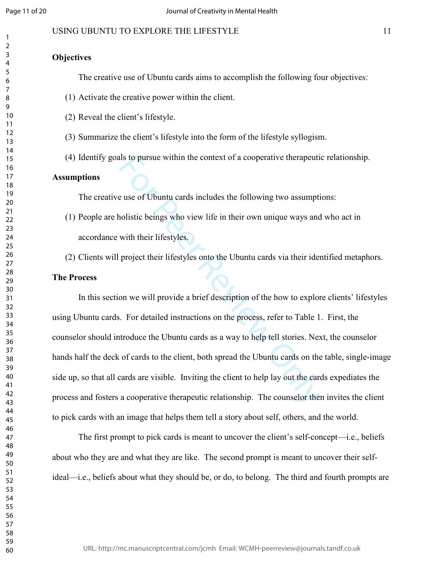### USING UBUNTU TO EXPLORE THE LIFESTYLE 11

### **Objectives**

The creative use of Ubuntu cards aims to accomplish the following four objectives:

- (1) Activate the creative power within the client.
- (2) Reveal the client's lifestyle.
- (3) Summarize the client's lifestyle into the form of the lifestyle syllogism.
- (4) Identify goals to pursue within the context of a cooperative therapeutic relationship.

### **Assumptions**

The creative use of Ubuntu cards includes the following two assumptions:

- (1) People are holistic beings who view life in their own unique ways and who act in accordance with their lifestyles.
- (2) Clients will project their lifestyles onto the Ubuntu cards via their identified metaphors.

### **The Process**

Is to pursue within the context of a cooperative therapeuti<br>
e use of Ubuntu cards includes the following two assumpti<br>
nolistic beings who view life in their own unique ways and<br>
with their lifestyles.<br>
project their life In this section we will provide a brief description of the how to explore clients' lifestyles using Ubuntu cards. For detailed instructions on the process, refer to Table 1. First, the counselor should introduce the Ubuntu cards as a way to help tell stories. Next, the counselor hands half the deck of cards to the client, both spread the Ubuntu cards on the table, single-image side up, so that all cards are visible. Inviting the client to help lay out the cards expediates the process and fosters a cooperative therapeutic relationship. The counselor then invites the client to pick cards with an image that helps them tell a story about self, others, and the world.

The first prompt to pick cards is meant to uncover the client's self-concept—i.e., beliefs about who they are and what they are like. The second prompt is meant to uncover their selfideal—i.e., beliefs about what they should be, or do, to belong. The third and fourth prompts are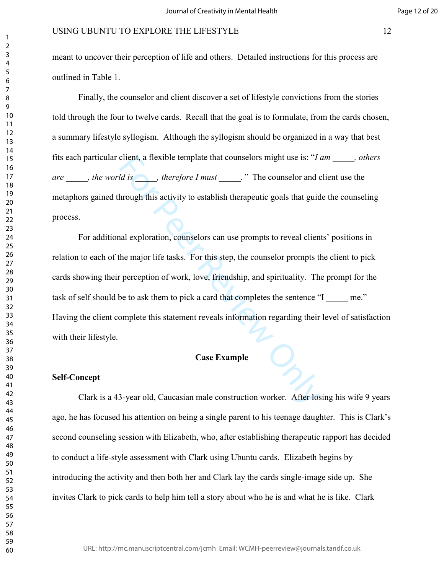meant to uncover their perception of life and others. Detailed instructions for this process are outlined in Table 1.

Finally, the counselor and client discover a set of lifestyle convictions from the stories told through the four to twelve cards. Recall that the goal is to formulate, from the cards chosen, a summary lifestyle syllogism. Although the syllogism should be organized in a way that best fits each particular client, a flexible template that counselors might use is: "*I am \_\_\_\_\_, others are \_\_\_\_\_, the world is \_\_\_\_\_, therefore I must \_\_\_\_\_."* The counselor and client use the metaphors gained through this activity to establish therapeutic goals that guide the counseling process.

client, a flexible template that counselors might use is: " $I_6$ <br>*Id is* \_\_\_\_, *therefore I must* \_\_\_\_. " The counselor and c<br>hrough this activity to establish therapeutic goals that guid<br>nal exploration, counselors can u For additional exploration, counselors can use prompts to reveal clients' positions in relation to each of the major life tasks. For this step, the counselor prompts the client to pick cards showing their perception of work, love, friendship, and spirituality. The prompt for the task of self should be to ask them to pick a card that completes the sentence "I \_\_\_\_\_ me." Having the client complete this statement reveals information regarding their level of satisfaction with their lifestyle.

### **Case Example**

#### **Self-Concept**

Clark is a 43-year old, Caucasian male construction worker. After losing his wife 9 years ago, he has focused his attention on being a single parent to his teenage daughter. This is Clark's second counseling session with Elizabeth, who, after establishing therapeutic rapport has decided to conduct a life-style assessment with Clark using Ubuntu cards. Elizabeth begins by introducing the activity and then both her and Clark lay the cards single-image side up. She invites Clark to pick cards to help him tell a story about who he is and what he is like. Clark

URL: http://mc.manuscriptcentral.com/jcmh Email: WCMH-peerreview@journals.tandf.co.uk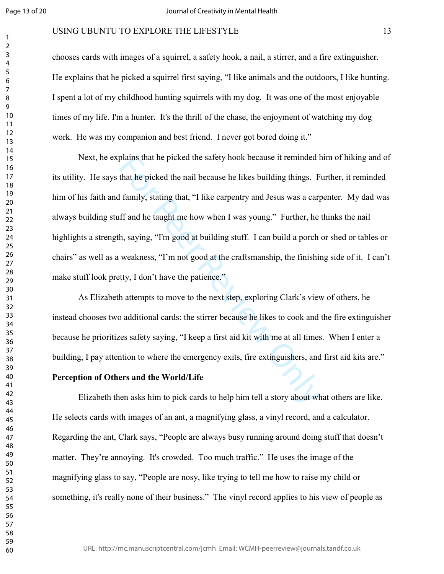$\overline{2}$ 

### USING UBUNTU TO EXPLORE THE LIFESTYLE 13

chooses cards with images of a squirrel, a safety hook, a nail, a stirrer, and a fire extinguisher. He explains that he picked a squirrel first saying, "I like animals and the outdoors, I like hunting. I spent a lot of my childhood hunting squirrels with my dog. It was one of the most enjoyable times of my life. I'm a hunter. It's the thrill of the chase, the enjoyment of watching my dog work. He was my companion and best friend. I never got bored doing it."

plains that he picked the safety hook because it reminded if<br>that he picked the nail because he likes building things. F<br>family, stating that, "I like carpentry and Jesus was a carp<br>ff and he taught me how when I was young Next, he explains that he picked the safety hook because it reminded him of hiking and of its utility. He says that he picked the nail because he likes building things. Further, it reminded him of his faith and family, stating that, "I like carpentry and Jesus was a carpenter. My dad was always building stuff and he taught me how when I was young." Further, he thinks the nail highlights a strength, saying, "I'm good at building stuff. I can build a porch or shed or tables or chairs" as well as a weakness, "I'm not good at the craftsmanship, the finishing side of it. I can't make stuff look pretty, I don't have the patience."

 As Elizabeth attempts to move to the next step, exploring Clark's view of others, he instead chooses two additional cards: the stirrer because he likes to cook and the fire extinguisher because he prioritizes safety saying, "I keep a first aid kit with me at all times. When I enter a building, I pay attention to where the emergency exits, fire extinguishers, and first aid kits are."

#### **Perception of Others and the World/Life**

 Elizabeth then asks him to pick cards to help him tell a story about what others are like. He selects cards with images of an ant, a magnifying glass, a vinyl record, and a calculator. Regarding the ant, Clark says, "People are always busy running around doing stuff that doesn't matter. They're annoying. It's crowded. Too much traffic." He uses the image of the magnifying glass to say, "People are nosy, like trying to tell me how to raise my child or something, it's really none of their business." The vinyl record applies to his view of people as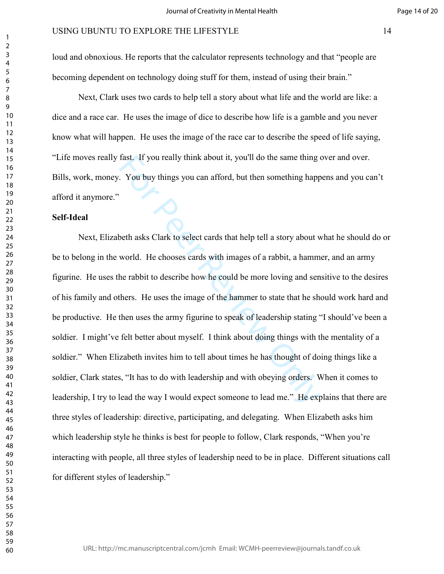loud and obnoxious. He reports that the calculator represents technology and that "people are becoming dependent on technology doing stuff for them, instead of using their brain."

 Next, Clark uses two cards to help tell a story about what life and the world are like: a dice and a race car. He uses the image of dice to describe how life is a gamble and you never know what will happen. He uses the image of the race car to describe the speed of life saying, "Life moves really fast. If you really think about it, you'll do the same thing over and over. Bills, work, money. You buy things you can afford, but then something happens and you can't afford it anymore."

### **Self-Ideal**

fast. If you really think about it, you'll do the same thing a<br>
For Pou buy things you can afford, but then something happ<br>
Deeth asks Clark to select cards that help tell a story about w<br>
world. He chooses cards with imag Next, Elizabeth asks Clark to select cards that help tell a story about what he should do or be to belong in the world. He chooses cards with images of a rabbit, a hammer, and an army figurine. He uses the rabbit to describe how he could be more loving and sensitive to the desires of his family and others. He uses the image of the hammer to state that he should work hard and be productive. He then uses the army figurine to speak of leadership stating "I should've been a soldier. I might've felt better about myself. I think about doing things with the mentality of a soldier." When Elizabeth invites him to tell about times he has thought of doing things like a soldier, Clark states, "It has to do with leadership and with obeying orders. When it comes to leadership, I try to lead the way I would expect someone to lead me." He explains that there are three styles of leadership: directive, participating, and delegating. When Elizabeth asks him which leadership style he thinks is best for people to follow, Clark responds, "When you're interacting with people, all three styles of leadership need to be in place. Different situations call for different styles of leadership."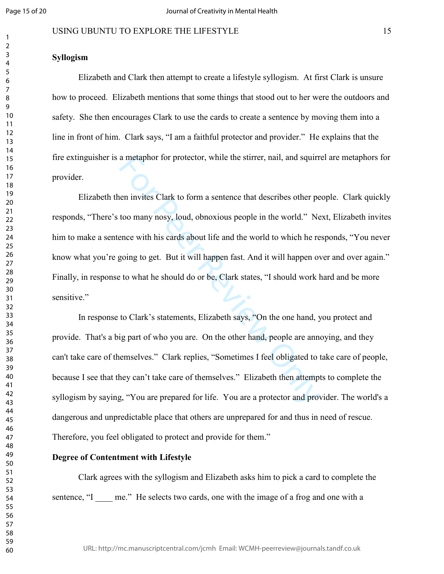### USING UBUNTU TO EXPLORE THE LIFESTYLE 15

### **Syllogism**

Elizabeth and Clark then attempt to create a lifestyle syllogism. At first Clark is unsure how to proceed. Elizabeth mentions that some things that stood out to her were the outdoors and safety. She then encourages Clark to use the cards to create a sentence by moving them into a line in front of him. Clark says, "I am a faithful protector and provider." He explains that the fire extinguisher is a metaphor for protector, while the stirrer, nail, and squirrel are metaphors for provider.

a metaphor for protector, while the stirrer, nail, and squirr<br>en invites Clark to form a sentence that describes other pe<br>too many nosy, loud, obnoxious people in the world." Ne<br>ence with his cards about life and the world Elizabeth then invites Clark to form a sentence that describes other people. Clark quickly responds, "There's too many nosy, loud, obnoxious people in the world." Next, Elizabeth invites him to make a sentence with his cards about life and the world to which he responds, "You never know what you're going to get. But it will happen fast. And it will happen over and over again." Finally, in response to what he should do or be, Clark states, "I should work hard and be more sensitive."

 In response to Clark's statements, Elizabeth says, "On the one hand, you protect and provide. That's a big part of who you are. On the other hand, people are annoying, and they can't take care of themselves." Clark replies, "Sometimes I feel obligated to take care of people, because I see that they can't take care of themselves." Elizabeth then attempts to complete the syllogism by saying, "You are prepared for life. You are a protector and provider. The world's a dangerous and unpredictable place that others are unprepared for and thus in need of rescue. Therefore, you feel obligated to protect and provide for them."

#### **Degree of Contentment with Lifestyle**

 Clark agrees with the syllogism and Elizabeth asks him to pick a card to complete the sentence, "I \_\_\_\_ me." He selects two cards, one with the image of a frog and one with a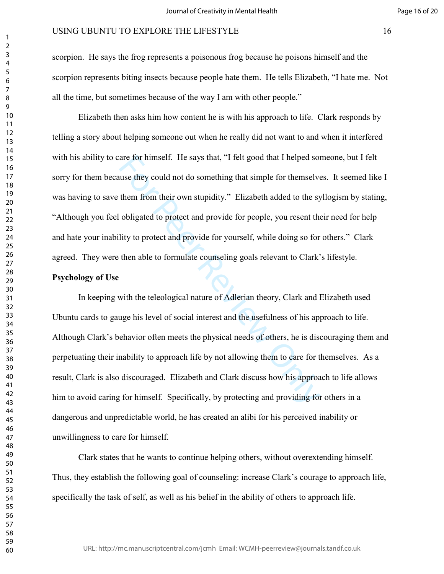scorpion. He says the frog represents a poisonous frog because he poisons himself and the scorpion represents biting insects because people hate them. He tells Elizabeth, "I hate me. Not all the time, but sometimes because of the way I am with other people."

 Elizabeth then asks him how content he is with his approach to life. Clark responds by telling a story about helping someone out when he really did not want to and when it interfered with his ability to care for himself. He says that, "I felt good that I helped someone, but I felt sorry for them because they could not do something that simple for themselves. It seemed like I was having to save them from their own stupidity." Elizabeth added to the syllogism by stating, "Although you feel obligated to protect and provide for people, you resent their need for help and hate your inability to protect and provide for yourself, while doing so for others." Clark agreed. They were then able to formulate counseling goals relevant to Clark's lifestyle.

### **Psychology of Use**

are for himself. He says that, "I felt good that I helped sorting that simple for themselve<br>them from their own stupidity." Elizabeth added to the sy<br>obligated to protect and provide for people, you resent the<br>lity to prot In keeping with the teleological nature of Adlerian theory, Clark and Elizabeth used Ubuntu cards to gauge his level of social interest and the usefulness of his approach to life. Although Clark's behavior often meets the physical needs of others, he is discouraging them and perpetuating their inability to approach life by not allowing them to care for themselves. As a result, Clark is also discouraged. Elizabeth and Clark discuss how his approach to life allows him to avoid caring for himself. Specifically, by protecting and providing for others in a dangerous and unpredictable world, he has created an alibi for his perceived inability or unwillingness to care for himself.

Clark states that he wants to continue helping others, without overextending himself. Thus, they establish the following goal of counseling: increase Clark's courage to approach life, specifically the task of self, as well as his belief in the ability of others to approach life.

URL: http://mc.manuscriptcentral.com/jcmh Email: WCMH-peerreview@journals.tandf.co.uk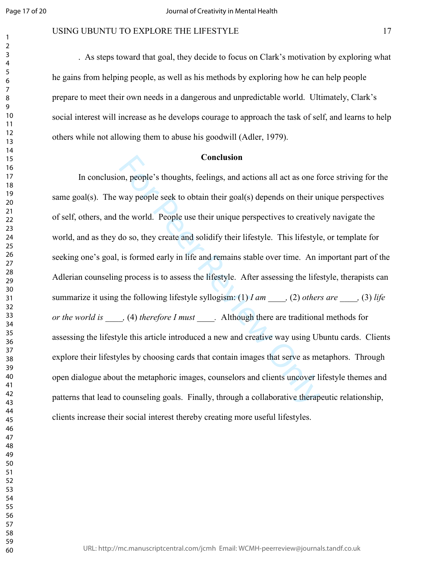### USING UBUNTU TO EXPLORE THE LIFESTYLE 17

. As steps toward that goal, they decide to focus on Clark's motivation by exploring what he gains from helping people, as well as his methods by exploring how he can help people prepare to meet their own needs in a dangerous and unpredictable world. Ultimately, Clark's social interest will increase as he develops courage to approach the task of self, and learns to help others while not allowing them to abuse his goodwill (Adler, 1979).

### **Conclusion**

**Conclusion**<br>Conclusion<br>on, people's thoughts, feelings, and actions all act as one for<br>way people seek to obtain their goal(s) depends on their un<br>the world. People use their unique perspectives to creative<br>do so, they c In conclusion, people's thoughts, feelings, and actions all act as one force striving for the same goal(s). The way people seek to obtain their goal(s) depends on their unique perspectives of self, others, and the world. People use their unique perspectives to creatively navigate the world, and as they do so, they create and solidify their lifestyle. This lifestyle, or template for seeking one's goal, is formed early in life and remains stable over time. An important part of the Adlerian counseling process is to assess the lifestyle. After assessing the lifestyle, therapists can summarize it using the following lifestyle syllogism: (1) *I am* \_\_\_\_*,* (2) *others are* \_\_\_\_*,* (3) *life or the world is* \_\_\_\_\_*,* (4) *therefore I must* \_\_\_\_\_. Although there are traditional methods for assessing the lifestyle this article introduced a new and creative way using Ubuntu cards. Clients explore their lifestyles by choosing cards that contain images that serve as metaphors. Through open dialogue about the metaphoric images, counselors and clients uncover lifestyle themes and patterns that lead to counseling goals. Finally, through a collaborative therapeutic relationship, clients increase their social interest thereby creating more useful lifestyles.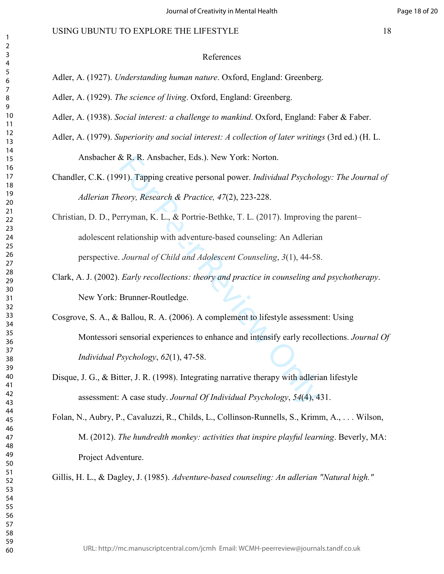#### References

- Adler, A. (1927). *Understanding human nature*. Oxford, England: Greenberg.
- Adler, A. (1929). *The science of living*. Oxford, England: Greenberg.
- Adler, A. (1938). *Social interest: a challenge to mankind*. Oxford, England: Faber & Faber.
- Adler, A. (1979). *Superiority and social interest: A collection of later writings* (3rd ed.) (H. L. Ansbacher & R. R. Ansbacher, Eds.). New York: Norton.
	- Chandler, C.K. (1991). Tapping creative personal power. *Individual Psychology: The Journal of Adlerian Theory, Research & Practice, 47*(2), 223-228.
	- X R. R. Ansbacher, Eds.). New York: Norton.<br>91). Tapping creative personal power. *Individual Psycholoteory, Research & Practice, 47(2), 223-228.*<br>Perryman, K. L., & Portrie-Bethke, T. L. (2017). Improving<br>relationship wit Christian, D. D., Perryman, K. L., & Portrie-Bethke, T. L. (2017). Improving the parent– adolescent relationship with adventure-based counseling: An Adlerian perspective. *Journal of Child and Adolescent Counseling*, *3*(1), 44-58.
	- Clark, A. J. (2002). *Early recollections: theory and practice in counseling and psychotherapy*. New York: Brunner-Routledge.
	- Cosgrove, S. A., & Ballou, R. A. (2006). A complement to lifestyle assessment: Using Montessori sensorial experiences to enhance and intensify early recollections. *Journal Of Individual Psychology*, *62*(1), 47-58.
	- Disque, J. G., & Bitter, J. R. (1998). Integrating narrative therapy with adlerian lifestyle assessment: A case study. *Journal Of Individual Psychology*, *54*(4), 431.
	- Folan, N., Aubry, P., Cavaluzzi, R., Childs, L., Collinson-Runnells, S., Krimm, A., . . . Wilson, M. (2012). *The hundredth monkey: activities that inspire playful learning*. Beverly, MA: Project Adventure.

Gillis, H. L., & Dagley, J. (1985). *Adventure-based counseling: An adlerian "Natural high."*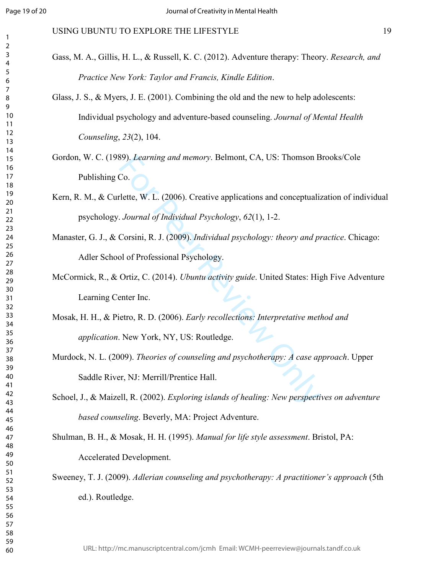### USING UBUNTU TO EXPLORE THE LIFESTYLE 19

- Gass, M. A., Gillis, H. L., & Russell, K. C. (2012). Adventure therapy: Theory. *Research, and Practice New York: Taylor and Francis, Kindle Edition*.
- Glass, J. S., & Myers, J. E. (2001). Combining the old and the new to help adolescents: Individual psychology and adventure-based counseling. *Journal of Mental Health Counseling*, *23*(2), 104.
- Gordon, W. C. (1989). *Learning and memory*. Belmont, CA, US: Thomson Brooks/Cole Publishing Co.
- Kern, R. M., & Curlette, W. L. (2006). Creative applications and conceptualization of individual psychology. *Journal of Individual Psychology*, *62*(1), 1-2.
- Manaster, G. J., & Corsini, R. J. (2009). *Individual psychology: theory and practice*. Chicago: Adler School of Professional Psychology.
- McCormick, R., & Ortiz, C. (2014). *Ubuntu activity guide*. United States: High Five Adventure Learning Center Inc.
- S9). *Learning and memory*. Belmont, CA, US: Thomson B<br>Co.<br>
Lette, W. L. (2006). Creative applications and conceptuali:<br>
Journal of Individual Psychology, 62(1), 1-2.<br>
Corsini, R. J. (2009). Individual psychology: theory a Mosak, H. H., & Pietro, R. D. (2006). *Early recollections: Interpretative method and application*. New York, NY, US: Routledge.
- Murdock, N. L. (2009). *Theories of counseling and psychotherapy: A case approach*. Upper Saddle River, NJ: Merrill/Prentice Hall.
- Schoel, J., & Maizell, R. (2002). *Exploring islands of healing: New perspectives on adventure based counseling*. Beverly, MA: Project Adventure.

Shulman, B. H., & Mosak, H. H. (1995). *Manual for life style assessment*. Bristol, PA: Accelerated Development.

Sweeney, T. J. (2009). *Adlerian counseling and psychotherapy: A practitioner's approach* (5th ed.). Routledge.